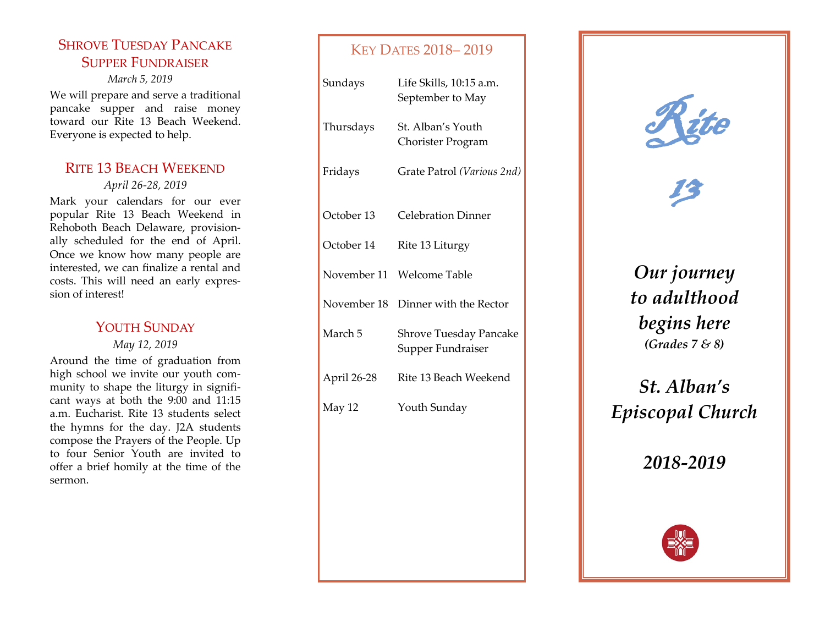# SHROVE TUESDAY PANCAKE SUPPER FUNDRAISER

*March 5, 2019* We will prepare and serve a traditional pancake supper and raise money toward our Rite 13 Beach Weekend. Everyone is expected to help.

# RITE 13 BEACH WEEKEND

*April 26 -28, 2019*

Mark your calendars for our ever popular Rite 13 Beach Weekend in Rehoboth Beach Delaware, provisionally scheduled for the end of April. Once we know how many people are interested, we can finalize a rental and costs. This will need an early expression of interest!

# YOUTH SUNDAY

*May 12, 2019*

Around the time of graduation from high school we invite our youth community to shape the liturgy in significant ways at both the 9:00 and 11:15 a.m. Eucharist. Rite 13 students select the hymns for the day. J2A students compose the Prayers of the People. Up to four Senior Youth are invited to offer a brief homily at the time of the sermon.

# KEY DATES 2018 – 2019

| Sundays     | Life Skills, 10:15 a.m.<br>September to May |
|-------------|---------------------------------------------|
| Thursdays   | St. Alban's Youth<br>Chorister Program      |
| Fridays     | Grate Patrol (Various 2nd)                  |
| October 13  | <b>Celebration Dinner</b>                   |
| October 14  | Rite 13 Liturgy                             |
| November 11 | Welcome Table                               |
| November 18 | Dinner with the Rector                      |
| March 5     | Shrove Tuesday Pancake<br>Supper Fundraiser |
| April 26-28 | Rite 13 Beach Weekend                       |
| May 12      | Youth Sunday                                |



13

*Our journey to adulthood begins here (Grades 7 & 8)*

*St. Alban's Episcopal Church*

*2018 -2019*